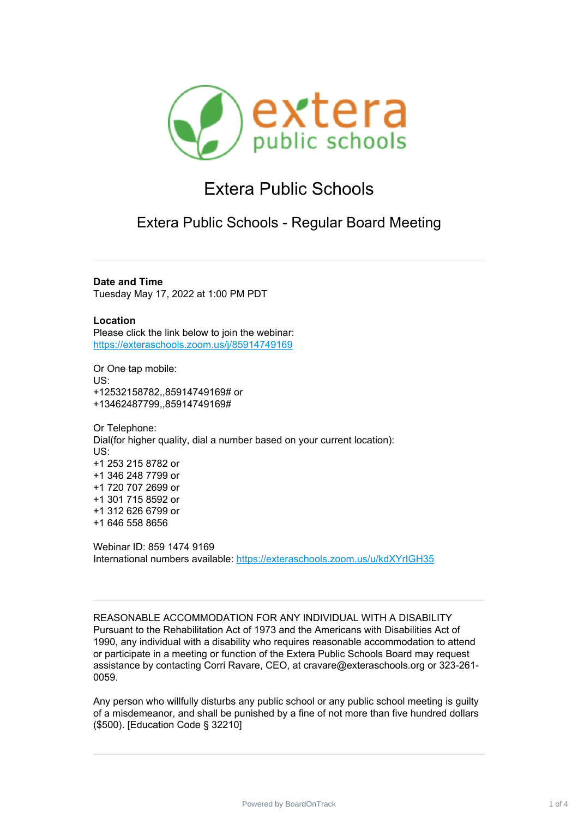

## Extera Public Schools

Extera Public Schools - Regular Board Meeting

**Date and Time**

Tuesday May 17, 2022 at 1:00 PM PDT

**Location** Please click the link below to join the webinar: <https://exteraschools.zoom.us/j/85914749169>

Or One tap mobile: US: +12532158782,,85914749169# or +13462487799,,85914749169#

Or Telephone: Dial(for higher quality, dial a number based on your current location): US: +1 253 215 8782 or +1 346 248 7799 or +1 720 707 2699 or +1 301 715 8592 or +1 312 626 6799 or +1 646 558 8656

Webinar ID: 859 1474 9169 International numbers available: <https://exteraschools.zoom.us/u/kdXYrIGH35>

REASONABLE ACCOMMODATION FOR ANY INDIVIDUAL WITH A DISABILITY Pursuant to the Rehabilitation Act of 1973 and the Americans with Disabilities Act of 1990, any individual with a disability who requires reasonable accommodation to attend or participate in a meeting or function of the Extera Public Schools Board may request assistance by contacting Corri Ravare, CEO, at cravare@exteraschools.org or 323-261- 0059.

Any person who willfully disturbs any public school or any public school meeting is guilty of a misdemeanor, and shall be punished by a fine of not more than five hundred dollars (\$500). [Education Code § 32210]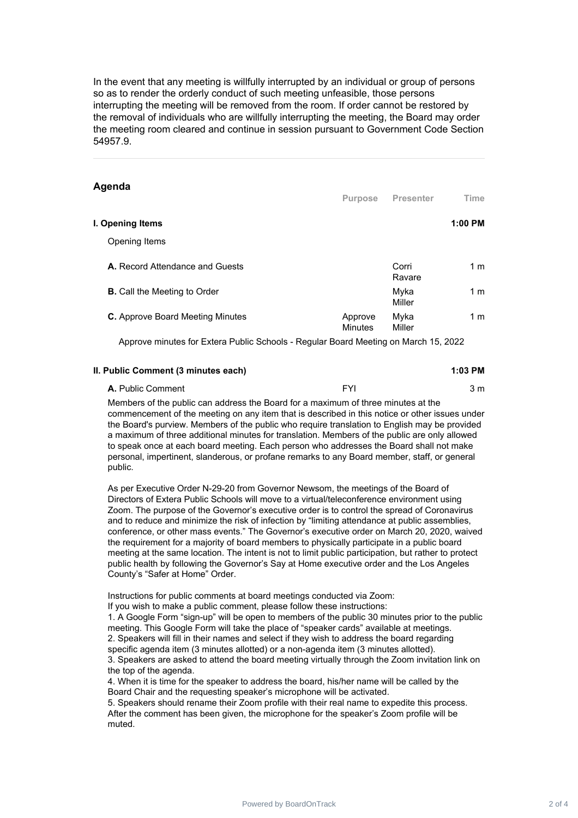In the event that any meeting is willfully interrupted by an individual or group of persons so as to render the orderly conduct of such meeting unfeasible, those persons interrupting the meeting will be removed from the room. If order cannot be restored by the removal of individuals who are willfully interrupting the meeting, the Board may order the meeting room cleared and continue in session pursuant to Government Code Section 54957.9.

| Agenda                                                                              | <b>Purpose</b>            | <b>Presenter</b> | Time           |
|-------------------------------------------------------------------------------------|---------------------------|------------------|----------------|
| I. Opening Items                                                                    |                           |                  | $1:00$ PM      |
| Opening Items                                                                       |                           |                  |                |
| A. Record Attendance and Guests                                                     |                           | Corri<br>Ravare  | 1 <sub>m</sub> |
| <b>B.</b> Call the Meeting to Order                                                 |                           | Myka<br>Miller   | 1 <sub>m</sub> |
| <b>C.</b> Approve Board Meeting Minutes                                             | Approve<br><b>Minutes</b> | Myka<br>Miller   | 1 <sub>m</sub> |
| Approve minutes for Exters Public Schools - Requier Board Meeting on March 15, 2022 |                           |                  |                |

Approve minutes for Extera Public Schools - Regular Board Meeting on March 15, 2022

| II. Public Comment (3 minutes each) | 1:03 PM |
|-------------------------------------|---------|
|-------------------------------------|---------|

| A. Public Comment | cvi | ነ m |
|-------------------|-----|-----|
|                   |     |     |

Members of the public can address the Board for a maximum of three minutes at the commencement of the meeting on any item that is described in this notice or other issues under the Board's purview. Members of the public who require translation to English may be provided a maximum of three additional minutes for translation. Members of the public are only allowed to speak once at each board meeting. Each person who addresses the Board shall not make personal, impertinent, slanderous, or profane remarks to any Board member, staff, or general public.

As per Executive Order N-29-20 from Governor Newsom, the meetings of the Board of Directors of Extera Public Schools will move to a virtual/teleconference environment using Zoom. The purpose of the Governor's executive order is to control the spread of Coronavirus and to reduce and minimize the risk of infection by "limiting attendance at public assemblies, conference, or other mass events." The Governor's executive order on March 20, 2020, waived the requirement for a majority of board members to physically participate in a public board meeting at the same location. The intent is not to limit public participation, but rather to protect public health by following the Governor's Say at Home executive order and the Los Angeles County's "Safer at Home" Order.

Instructions for public comments at board meetings conducted via Zoom: If you wish to make a public comment, please follow these instructions:

1. A Google Form "sign-up" will be open to members of the public 30 minutes prior to the public meeting. This Google Form will take the place of "speaker cards" available at meetings. 2. Speakers will fill in their names and select if they wish to address the board regarding specific agenda item (3 minutes allotted) or a non-agenda item (3 minutes allotted). 3. Speakers are asked to attend the board meeting virtually through the Zoom invitation link on the top of the agenda.

4. When it is time for the speaker to address the board, his/her name will be called by the Board Chair and the requesting speaker's microphone will be activated.

5. Speakers should rename their Zoom profile with their real name to expedite this process. After the comment has been given, the microphone for the speaker's Zoom profile will be muted.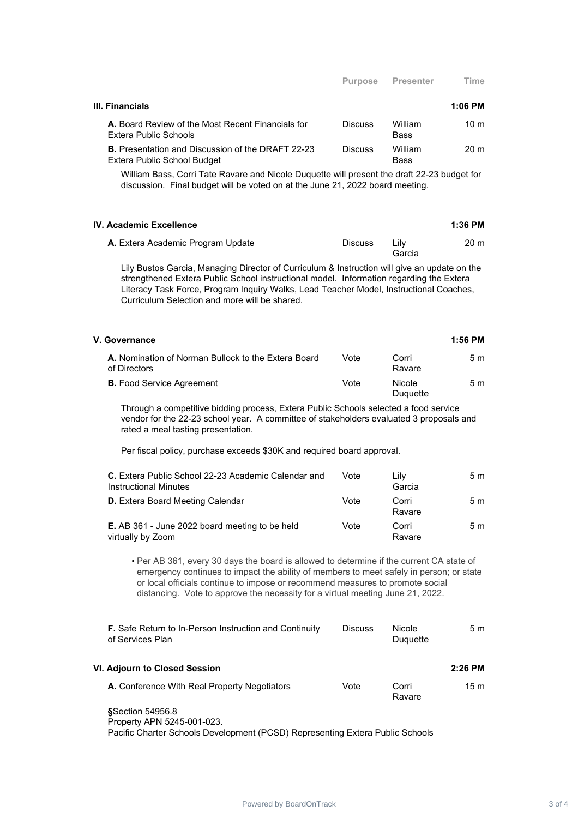| III. Financials                                                                         |                |                        | $1:06$ PM       |
|-----------------------------------------------------------------------------------------|----------------|------------------------|-----------------|
| A. Board Review of the Most Recent Financials for<br>Extera Public Schools              | <b>Discuss</b> | William<br><b>Bass</b> | $10 \text{ m}$  |
| <b>B.</b> Presentation and Discussion of the DRAFT 22-23<br>Extera Public School Budget | <b>Discuss</b> | William<br><b>Bass</b> | 20 <sub>m</sub> |

William Bass, Corri Tate Ravare and Nicole Duquette will present the draft 22-23 budget for discussion. Final budget will be voted on at the June 21, 2022 board meeting.

|                |                | 1:36 PM |
|----------------|----------------|---------|
| <b>Discuss</b> | Lilv<br>Garcia | 20 m    |
|                |                |         |

Lily Bustos Garcia, Managing Director of Curriculum & Instruction will give an update on the strengthened Extera Public School instructional model. Information regarding the Extera Literacy Task Force, Program Inquiry Walks, Lead Teacher Model, Instructional Coaches, Curriculum Selection and more will be shared.

| V. Governance                                                       |      |                           | 1:56 PM |
|---------------------------------------------------------------------|------|---------------------------|---------|
| A. Nomination of Norman Bullock to the Extera Board<br>of Directors | Vote | Corri<br>Ravare           | 5m      |
| <b>B.</b> Food Service Agreement                                    | Vote | <b>Nicole</b><br>Duquette | 5m      |

Through a competitive bidding process, Extera Public Schools selected a food service vendor for the 22-23 school year. A committee of stakeholders evaluated 3 proposals and rated a meal tasting presentation.

Per fiscal policy, purchase exceeds \$30K and required board approval.

| C. Extera Public School 22-23 Academic Calendar and<br><b>Instructional Minutes</b> | Vote | Lilv<br>Garcia  | 5 m |
|-------------------------------------------------------------------------------------|------|-----------------|-----|
| <b>D.</b> Extera Board Meeting Calendar                                             | Vote | Corri<br>Ravare | 5 m |
| <b>E.</b> AB 361 - June 2022 board meeting to be held<br>virtually by Zoom          | Vote | Corri<br>Ravare | 5 m |

• Per AB 361, every 30 days the board is allowed to determine if the current CA state of emergency continues to impact the ability of members to meet safely in person; or state or local officials continue to impose or recommend measures to promote social distancing. Vote to approve the necessity for a virtual meeting June 21, 2022.

| <b>F.</b> Safe Return to In-Person Instruction and Continuity<br>Nicole<br><b>Discuss</b><br>Duquette | 5m        |
|-------------------------------------------------------------------------------------------------------|-----------|
| VI. Adjourn to Closed Session                                                                         | $2:26$ PM |
| A. Conference With Real Property Negotiators<br>Vote<br>Corri<br>Ravare                               | 15 m      |
|                                                                                                       |           |

**§**Section 54956.8 Property APN 5245-001-023. Pacific Charter Schools Development (PCSD) Representing Extera Public Schools